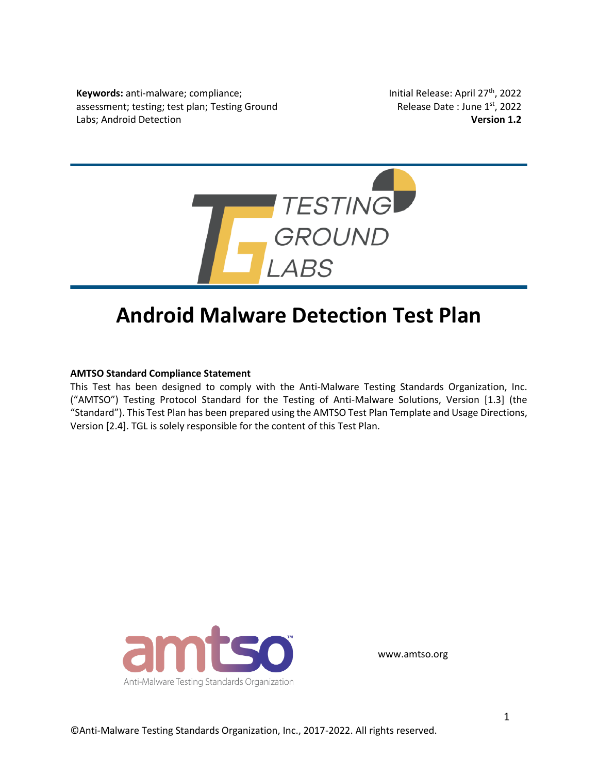**Keywords:** anti-malware; compliance; assessment; testing; test plan; Testing Ground Labs; Android Detection

Initial Release: April 27<sup>th</sup>, 2022 Release Date : June 1st, 2022 **Version 1.2**



# **Android Malware Detection Test Plan**

#### **AMTSO Standard Compliance Statement**

This Test has been designed to comply with the Anti-Malware Testing Standards Organization, Inc. ("AMTSO") Testing Protocol Standard for the Testing of Anti-Malware Solutions, Version [1.3] (the "Standard"). This Test Plan has been prepared using the AMTSO Test Plan Template and Usage Directions, Version [2.4]. TGL is solely responsible for the content of this Test Plan.



www.amtso.org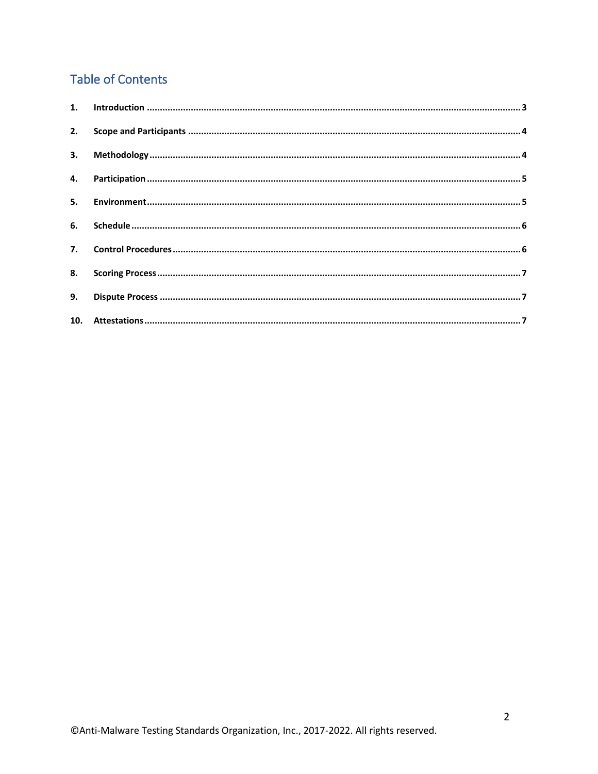# **Table of Contents**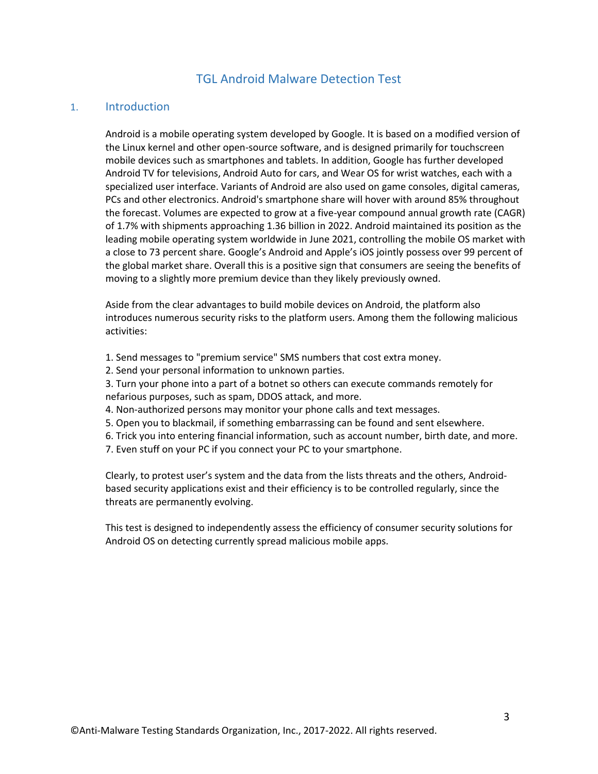# TGL Android Malware Detection Test

#### <span id="page-2-0"></span>1. Introduction

Android is a mobile operating system developed by Google. It is based on a modified version of the Linux kernel and other open-source software, and is designed primarily for touchscreen mobile devices such as smartphones and tablets. In addition, Google has further developed Android TV for televisions, Android Auto for cars, and Wear OS for wrist watches, each with a specialized user interface. Variants of Android are also used on game consoles, digital cameras, PCs and other electronics. Android's smartphone share will hover with around 85% throughout the forecast. Volumes are expected to grow at a five-year compound annual growth rate (CAGR) of 1.7% with shipments approaching 1.36 billion in 2022. Android maintained its position as the leading mobile operating system worldwide in June 2021, controlling the mobile OS market with a close to 73 percent share. Google's Android and Apple's iOS jointly possess over 99 percent of the global market share. Overall this is a positive sign that consumers are seeing the benefits of moving to a slightly more premium device than they likely previously owned.

Aside from the clear advantages to build mobile devices on Android, the platform also introduces numerous security risks to the platform users. Among them the following malicious activities:

- 1. Send messages to "premium service" SMS numbers that cost extra money.
- 2. Send your personal information to unknown parties.

3. Turn your phone into a part of a botnet so others can execute commands remotely for nefarious purposes, such as spam, DDOS attack, and more.

- 4. Non-authorized persons may monitor your phone calls and text messages.
- 5. Open you to blackmail, if something embarrassing can be found and sent elsewhere.
- 6. Trick you into entering financial information, such as account number, birth date, and more.
- 7. Even stuff on your PC if you connect your PC to your smartphone.

Clearly, to protest user's system and the data from the lists threats and the others, Androidbased security applications exist and their efficiency is to be controlled regularly, since the threats are permanently evolving.

This test is designed to independently assess the efficiency of consumer security solutions for Android OS on detecting currently spread malicious mobile apps.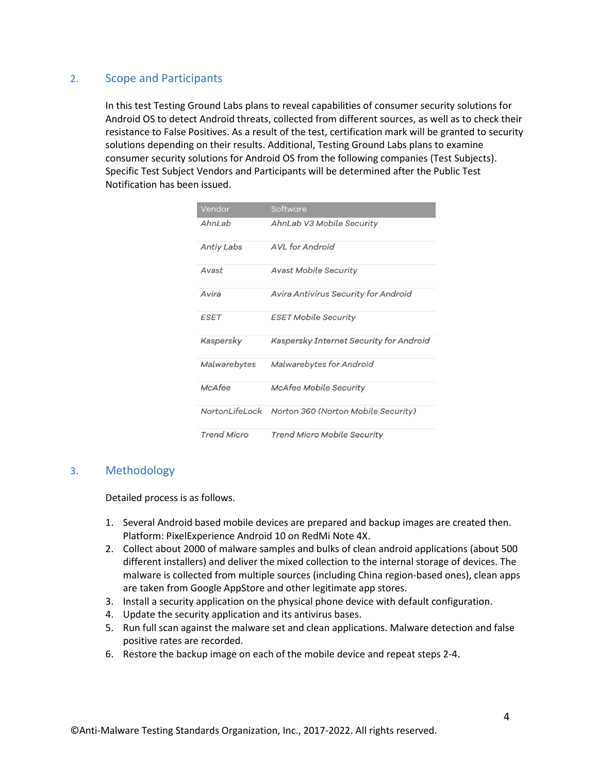# <span id="page-3-0"></span>2. Scope and Participants

In this test Testing Ground Labs plans to reveal capabilities of consumer security solutions for Android OS to detect Android threats, collected from different sources, as well as to check their resistance to False Positives. As a result of the test, certification mark will be granted to security solutions depending on their results. Additional, Testing Ground Labs plans to examine consumer security solutions for Android OS from the following companies (Test Subjects). Specific Test Subject Vendors and Participants will be determined after the Public Test Notification has been issued.

| Vendor             | Software                                |
|--------------------|-----------------------------------------|
| AhnLab             | AhnLab V3 Mobile Security               |
| Antiy Labs         | <b>AVL</b> for Android                  |
| Avast              | <b>Avast Mobile Security</b>            |
| Avira              | Avira Antivirus Security for Android    |
| <b>ESET</b>        | <b>ESET Mobile Security</b>             |
| Kaspersky          | Kaspersky Internet Security for Android |
| Malwarebytes       | Malwarebytes for Android                |
| McAfee             | <b>McAfee Mobile Security</b>           |
| NortonLifeLock     | Norton 360 (Norton Mobile Security)     |
| <b>Trend Micro</b> | Trend Micro Mobile Security             |

# <span id="page-3-1"></span>3. Methodology

Detailed process is as follows.

- 1. Several Android based mobile devices are prepared and backup images are created then. Platform: PixelExperience Android 10 on RedMi Note 4X.
- 2. Collect about 2000 of malware samples and bulks of clean android applications (about 500 different installers) and deliver the mixed collection to the internal storage of devices. The malware is collected from multiple sources (including China region-based ones), clean apps are taken from Google AppStore and other legitimate app stores.
- 3. Install a security application on the physical phone device with default configuration.
- 4. Update the security application and its antivirus bases.
- 5. Run full scan against the malware set and clean applications. Malware detection and false positive rates are recorded.
- 6. Restore the backup image on each of the mobile device and repeat steps 2-4.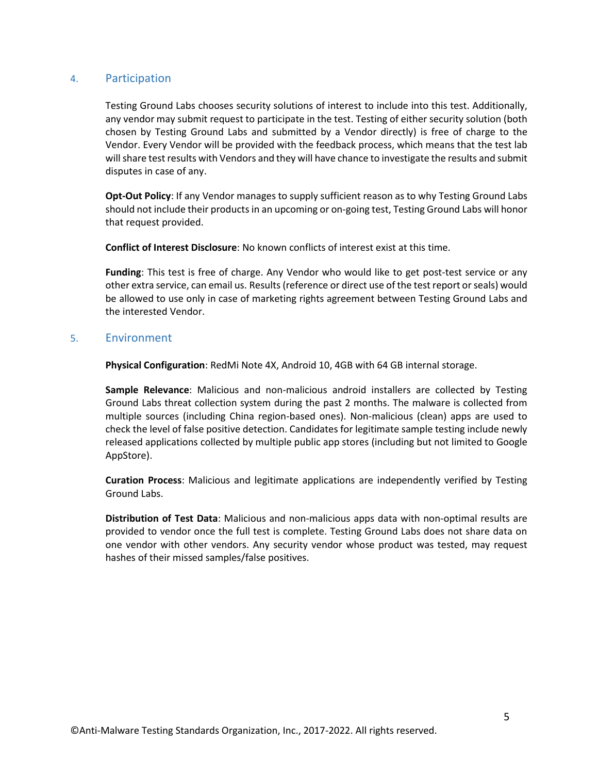# <span id="page-4-0"></span>4. Participation

Testing Ground Labs chooses security solutions of interest to include into this test. Additionally, any vendor may submit request to participate in the test. Testing of either security solution (both chosen by Testing Ground Labs and submitted by a Vendor directly) is free of charge to the Vendor. Every Vendor will be provided with the feedback process, which means that the test lab will share test results with Vendors and they will have chance to investigate the results and submit disputes in case of any.

**Opt-Out Policy**: If any Vendor manages to supply sufficient reason as to why Testing Ground Labs should not include their products in an upcoming or on-going test, Testing Ground Labs will honor that request provided.

**Conflict of Interest Disclosure**: No known conflicts of interest exist at this time.

**Funding**: This test is free of charge. Any Vendor who would like to get post-test service or any other extra service, can email us. Results (reference or direct use of the test report or seals) would be allowed to use only in case of marketing rights agreement between Testing Ground Labs and the interested Vendor.

#### <span id="page-4-1"></span>5. Environment

**Physical Configuration**: RedMi Note 4X, Android 10, 4GB with 64 GB internal storage.

**Sample Relevance**: Malicious and non-malicious android installers are collected by Testing Ground Labs threat collection system during the past 2 months. The malware is collected from multiple sources (including China region-based ones). Non-malicious (clean) apps are used to check the level of false positive detection. Candidates for legitimate sample testing include newly released applications collected by multiple public app stores (including but not limited to Google AppStore).

**Curation Process**: Malicious and legitimate applications are independently verified by Testing Ground Labs.

**Distribution of Test Data**: Malicious and non-malicious apps data with non-optimal results are provided to vendor once the full test is complete. Testing Ground Labs does not share data on one vendor with other vendors. Any security vendor whose product was tested, may request hashes of their missed samples/false positives.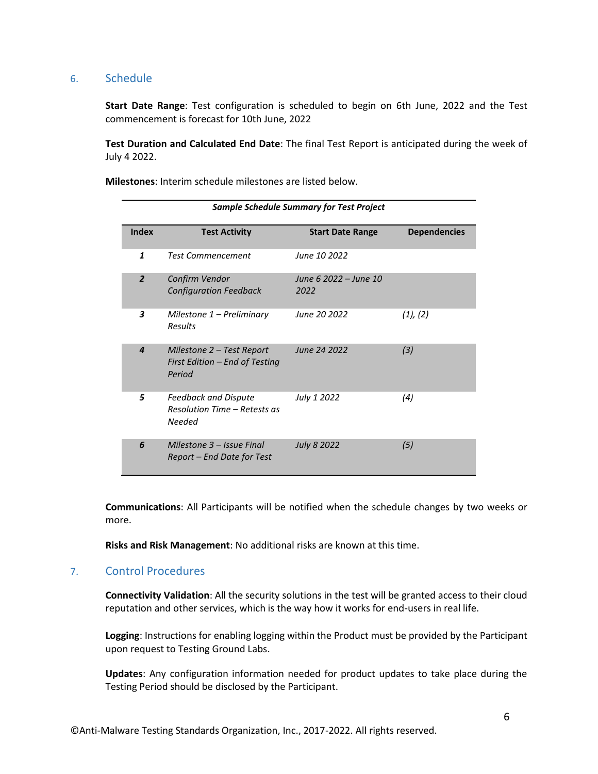#### <span id="page-5-0"></span>6. Schedule

**Start Date Range**: Test configuration is scheduled to begin on 6th June, 2022 and the Test commencement is forecast for 10th June, 2022

**Test Duration and Calculated End Date**: The final Test Report is anticipated during the week of July 4 2022.

**Milestones**: Interim schedule milestones are listed below.

| <b>Sample Schedule Summary for Test Project</b> |                                                                                     |                               |                     |  |  |
|-------------------------------------------------|-------------------------------------------------------------------------------------|-------------------------------|---------------------|--|--|
| <b>Index</b>                                    | <b>Test Activity</b>                                                                | <b>Start Date Range</b>       | <b>Dependencies</b> |  |  |
| 1                                               | <b>Test Commencement</b>                                                            | June 10 2022                  |                     |  |  |
| $\overline{2}$                                  | Confirm Vendor<br><b>Configuration Feedback</b>                                     | June 6 2022 – June 10<br>2022 |                     |  |  |
| 3                                               | Milestone 1 - Preliminary<br><b>Results</b>                                         | June 20 2022                  | $(1)$ , $(2)$       |  |  |
| $\boldsymbol{4}$                                | Milestone 2 - Test Report<br>First Edition - End of Testing<br>Period               | June 24 2022                  | (3)                 |  |  |
| 5                                               | <b>Feedback and Dispute</b><br><b>Resolution Time – Retests as</b><br><b>Needed</b> | July 1 2022                   | (4)                 |  |  |
| 6                                               | Milestone 3 – Issue Final<br>Report – End Date for Test                             | July 8 2022                   | (5)                 |  |  |

**Communications**: All Participants will be notified when the schedule changes by two weeks or more.

**Risks and Risk Management**: No additional risks are known at this time.

# <span id="page-5-1"></span>7. Control Procedures

**Connectivity Validation**: All the security solutions in the test will be granted access to their cloud reputation and other services, which is the way how it works for end-users in real life.

**Logging**: Instructions for enabling logging within the Product must be provided by the Participant upon request to Testing Ground Labs.

**Updates**: Any configuration information needed for product updates to take place during the Testing Period should be disclosed by the Participant.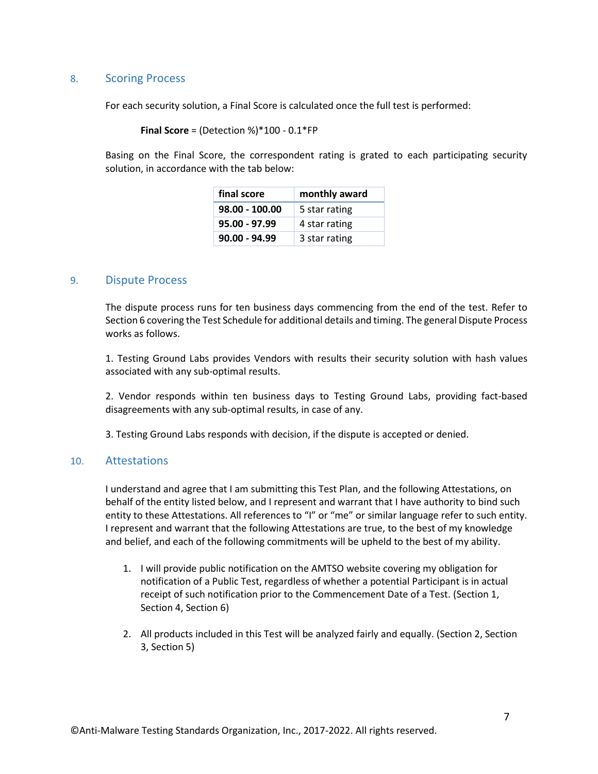# <span id="page-6-0"></span>8. Scoring Process

For each security solution, a Final Score is calculated once the full test is performed:

```
Final Score = (Detection %)*100 - 0.1*FP
```
Basing on the Final Score, the correspondent rating is grated to each participating security solution, in accordance with the tab below:

| final score     | monthly award |
|-----------------|---------------|
| 98.00 - 100.00  | 5 star rating |
| $95.00 - 97.99$ | 4 star rating |
| $90.00 - 94.99$ | 3 star rating |

#### <span id="page-6-1"></span>9. Dispute Process

The dispute process runs for ten business days commencing from the end of the test. Refer to Section 6 covering the Test Schedule for additional details and timing. The general Dispute Process works as follows.

1. Testing Ground Labs provides Vendors with results their security solution with hash values associated with any sub-optimal results.

2. Vendor responds within ten business days to Testing Ground Labs, providing fact-based disagreements with any sub-optimal results, in case of any.

3. Testing Ground Labs responds with decision, if the dispute is accepted or denied.

#### <span id="page-6-2"></span>10. Attestations

I understand and agree that I am submitting this Test Plan, and the following Attestations, on behalf of the entity listed below, and I represent and warrant that I have authority to bind such entity to these Attestations. All references to "I" or "me" or similar language refer to such entity. I represent and warrant that the following Attestations are true, to the best of my knowledge and belief, and each of the following commitments will be upheld to the best of my ability.

- 1. I will provide public notification on the AMTSO website covering my obligation for notification of a Public Test, regardless of whether a potential Participant is in actual receipt of such notification prior to the Commencement Date of a Test. (Section 1, Section 4, Section 6)
- 2. All products included in this Test will be analyzed fairly and equally. (Section 2, Section 3, Section 5)